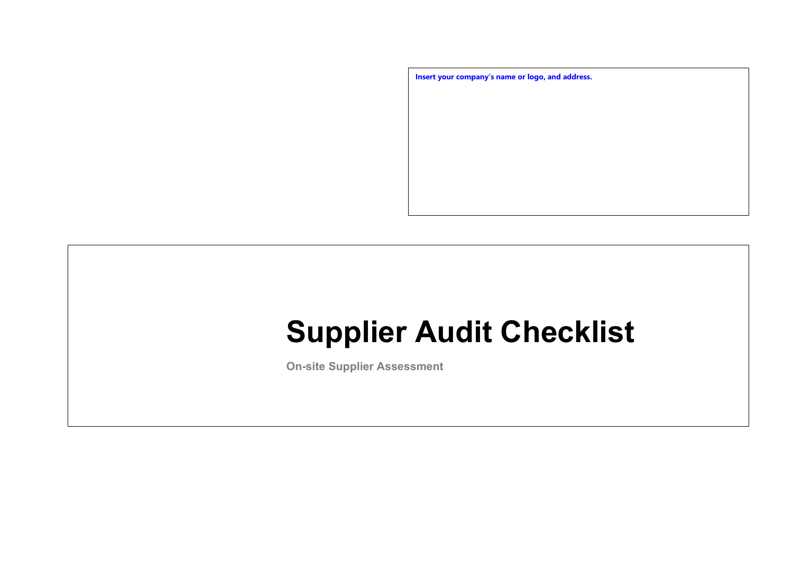

# **Supplier Audit Checklist**

**On-site Supplier Assessment**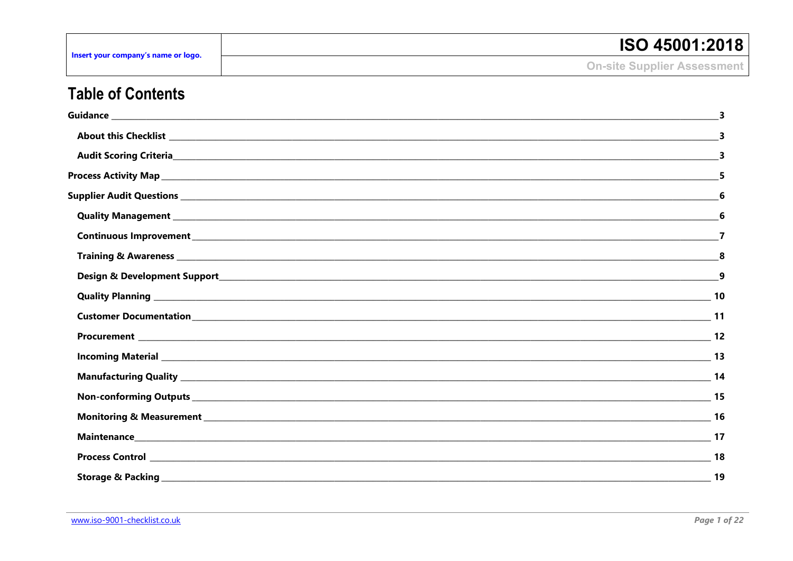| Insert your company's name or logo. | <b>ISO 45001:2018</b>              |
|-------------------------------------|------------------------------------|
|                                     | <b>On-site Supplier Assessment</b> |

## **Table of Contents**

| Quality Management 1999 Committee Committee Committee Committee Committee Committee Committee Committee Commit                                                                                                                       |    |
|--------------------------------------------------------------------------------------------------------------------------------------------------------------------------------------------------------------------------------------|----|
|                                                                                                                                                                                                                                      |    |
|                                                                                                                                                                                                                                      |    |
|                                                                                                                                                                                                                                      |    |
| Quality Planning <u>New York: New York: New York: New York: New York: New York: New York: New York: New York: New York: New York: New York: New York: New York: New York: New York: New York: New York: New York: New York: New </u> | 10 |
|                                                                                                                                                                                                                                      |    |
|                                                                                                                                                                                                                                      |    |
|                                                                                                                                                                                                                                      |    |
|                                                                                                                                                                                                                                      |    |
|                                                                                                                                                                                                                                      |    |
|                                                                                                                                                                                                                                      |    |
|                                                                                                                                                                                                                                      |    |
|                                                                                                                                                                                                                                      |    |
|                                                                                                                                                                                                                                      | 19 |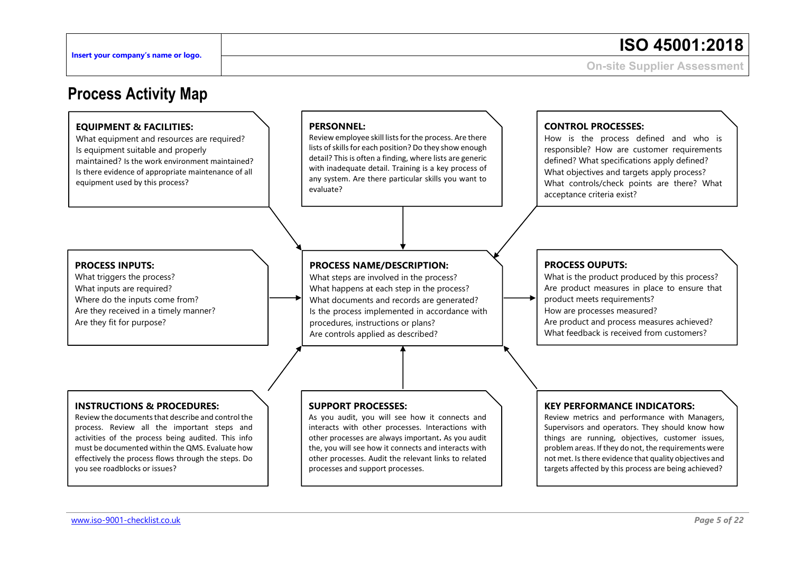## <span id="page-2-0"></span>**Process Activity Map**

#### **EQUIPMENT & FACILITIES:**

What equipment and resources are required? Is equipment suitable and properly maintained? Is the work environment maintained? Is there evidence of appropriate maintenance of all equipment used by this process?

#### **PERSONNEL:**

Review employee skill lists for the process. Are there lists of skills for each position? Do they show enough detail? This is often a finding, where lists are generic with inadequate detail. Training is a key process of any system. Are there particular skills you want to evaluate?

#### **PROCESS INPUTS:**

What triggers the process? What inputs are required? Where do the inputs come from? Are they received in a timely manner? Are they fit for purpose?

#### **PROCESS NAME/DESCRIPTION:**

What steps are involved in the process? What happens at each step in the process? What documents and records are generated? Is the process implemented in accordance with procedures, instructions or plans? Are controls applied as described?

#### **INSTRUCTIONS & PROCEDURES:**

Review the documents that describe and control the process. Review all the important steps and activities of the process being audited. This info must be documented within the QMS. Evaluate how effectively the process flows through the steps. Do you see roadblocks or issues?

#### **SUPPORT PROCESSES:**

As you audit, you will see how it connects and interacts with other processes. Interactions with other processes are always important**.** As you audit the, you will see how it connects and interacts with other processes. Audit the relevant links to related processes and support processes.

#### **CONTROL PROCESSES:**

How is the process defined and who is responsible? How are customer requirements defined? What specifications apply defined? What objectives and targets apply process? What controls/check points are there? What acceptance criteria exist?

#### **PROCESS OUPUTS:**

What is the product produced by this process? Are product measures in place to ensure that product meets requirements? How are processes measured? Are product and process measures achieved? What feedback is received from customers?

#### **KEY PERFORMANCE INDICATORS:**

Review metrics and performance with Managers, Supervisors and operators. They should know how things are running, objectives, customer issues, problem areas. If they do not, the requirements were not met. Is there evidence that quality objectives and targets affected by this process are being achieved?